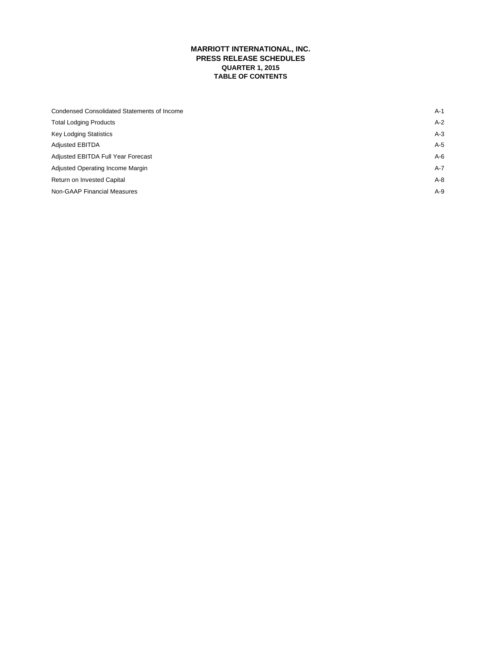## **MARRIOTT INTERNATIONAL, INC. PRESS RELEASE SCHEDULES QUARTER 1, 2015 TABLE OF CONTENTS**

| Condensed Consolidated Statements of Income | A-1   |
|---------------------------------------------|-------|
| <b>Total Lodging Products</b>               | $A-2$ |
| <b>Key Lodging Statistics</b>               | $A-3$ |
| <b>Adjusted EBITDA</b>                      | A-5   |
| Adjusted EBITDA Full Year Forecast          | $A-6$ |
| Adjusted Operating Income Margin            | $A-7$ |
| Return on Invested Capital                  | $A-8$ |
| Non-GAAP Financial Measures                 | $A-9$ |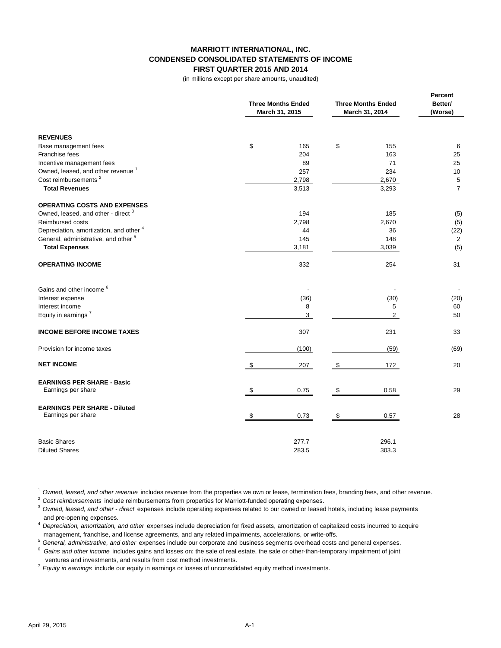### **MARRIOTT INTERNATIONAL, INC. CONDENSED CONSOLIDATED STATEMENTS OF INCOME FIRST QUARTER 2015 AND 2014**

(in millions except per share amounts, unaudited)

|                                                         | <b>Three Months Ended</b><br>March 31, 2015 | <b>Three Months Ended</b><br>March 31, 2014 | Percent<br>Better/<br>(Worse) |
|---------------------------------------------------------|---------------------------------------------|---------------------------------------------|-------------------------------|
| <b>REVENUES</b>                                         |                                             |                                             |                               |
| Base management fees                                    | \$<br>165                                   | \$<br>155                                   | 6                             |
| Franchise fees                                          | 204                                         | 163                                         | 25                            |
| Incentive management fees                               | 89                                          | 71                                          | 25                            |
| Owned, leased, and other revenue <sup>1</sup>           | 257                                         | 234                                         | 10                            |
| Cost reimbursements <sup>2</sup>                        | 2,798                                       | 2,670                                       | 5                             |
| <b>Total Revenues</b>                                   | 3,513                                       | 3,293                                       | $\overline{7}$                |
| <b>OPERATING COSTS AND EXPENSES</b>                     |                                             |                                             |                               |
| Owned, leased, and other - direct <sup>3</sup>          | 194                                         | 185                                         | (5)                           |
| Reimbursed costs                                        | 2,798                                       | 2,670                                       | (5)                           |
| Depreciation, amortization, and other 4                 | 44                                          | 36                                          | (22)                          |
| General, administrative, and other <sup>5</sup>         | 145                                         | 148                                         | 2                             |
| <b>Total Expenses</b>                                   | 3,181                                       | 3,039                                       | (5)                           |
| <b>OPERATING INCOME</b>                                 | 332                                         | 254                                         | 31                            |
| Gains and other income <sup>6</sup>                     |                                             |                                             | L.                            |
| Interest expense                                        | (36)                                        | (30)                                        | (20)                          |
| Interest income                                         | 8                                           | 5                                           | 60                            |
| Equity in earnings <sup>7</sup>                         | 3                                           | $\overline{2}$                              | 50                            |
| <b>INCOME BEFORE INCOME TAXES</b>                       | 307                                         | 231                                         | 33                            |
| Provision for income taxes                              | (100)                                       | (59)                                        | (69)                          |
| <b>NET INCOME</b>                                       | 207<br>\$                                   | 172<br>S                                    | 20                            |
| <b>EARNINGS PER SHARE - Basic</b><br>Earnings per share | 0.75<br>\$                                  | 0.58<br>\$                                  | 29                            |
|                                                         |                                             |                                             |                               |
| <b>EARNINGS PER SHARE - Diluted</b>                     |                                             |                                             |                               |
| Earnings per share                                      | 0.73<br>- \$                                | 0.57<br>S                                   | 28                            |
| <b>Basic Shares</b>                                     | 277.7                                       | 296.1                                       |                               |
| <b>Diluted Shares</b>                                   | 283.5                                       | 303.3                                       |                               |

<sup>1</sup>*Owned, leased, and other revenue* includes revenue from the properties we own or lease, termination fees, branding fees, and other revenue.

<sup>2</sup>*Cost reimbursements* include reimbursements from properties for Marriott-funded operating expenses.

<sup>3</sup>*Owned, leased, and other - direct* expenses include operating expenses related to our owned or leased hotels, including lease payments and pre-opening expenses.

<sup>4</sup>*Depreciation, amortization, and other* expenses include depreciation for fixed assets, amortization of capitalized costs incurred to acquire management, franchise, and license agreements, and any related impairments, accelerations, or write-offs.

<sup>5</sup>*General, administrative, and other* expenses include our corporate and business segments overhead costs and general expenses.

6 *Gains and other income* includes gains and losses on: the sale of real estate, the sale or other-than-temporary impairment of joint ventures and investments, and results from cost method investments.

<sup>7</sup>*Equity in earnings* include our equity in earnings or losses of unconsolidated equity method investments.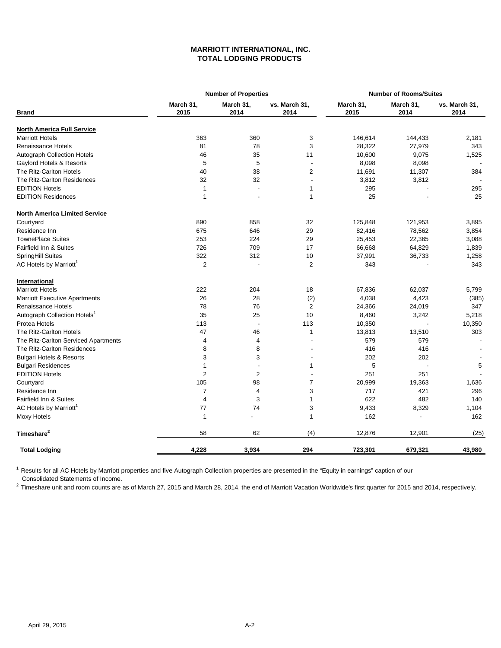## **MARRIOTT INTERNATIONAL, INC. TOTAL LODGING PRODUCTS**

|                                          |                   | <b>Number of Properties</b> |                         | <b>Number of Rooms/Suites</b> |                   |                       |  |
|------------------------------------------|-------------------|-----------------------------|-------------------------|-------------------------------|-------------------|-----------------------|--|
| <b>Brand</b>                             | March 31,<br>2015 | March 31,<br>2014           | vs. March 31,<br>2014   | March 31,<br>2015             | March 31,<br>2014 | vs. March 31,<br>2014 |  |
| <b>North America Full Service</b>        |                   |                             |                         |                               |                   |                       |  |
| <b>Marriott Hotels</b>                   | 363               | 360                         | 3                       | 146,614                       | 144,433           | 2,181                 |  |
| Renaissance Hotels                       | 81                | 78                          | 3                       | 28,322                        | 27,979            | 343                   |  |
| Autograph Collection Hotels              | 46                | 35                          | 11                      | 10,600                        | 9,075             | 1,525                 |  |
| Gaylord Hotels & Resorts                 | 5                 | 5                           | $\overline{a}$          | 8,098                         | 8,098             |                       |  |
| The Ritz-Carlton Hotels                  | 40                | 38                          | $\overline{c}$          | 11,691                        | 11,307            | 384                   |  |
| The Ritz-Carlton Residences              | 32                | 32                          |                         | 3,812                         | 3,812             |                       |  |
| <b>EDITION Hotels</b>                    | 1                 | $\overline{\phantom{a}}$    | $\mathbf{1}$            | 295                           |                   | 295                   |  |
| <b>EDITION Residences</b>                | $\mathbf{1}$      | $\overline{\phantom{a}}$    | $\mathbf{1}$            | 25                            |                   | 25                    |  |
| <b>North America Limited Service</b>     |                   |                             |                         |                               |                   |                       |  |
| Courtyard                                | 890               | 858                         | 32                      | 125,848                       | 121,953           | 3,895                 |  |
| Residence Inn                            | 675               | 646                         | 29                      | 82,416                        | 78,562            | 3,854                 |  |
| <b>TownePlace Suites</b>                 | 253               | 224                         | 29                      | 25,453                        | 22,365            | 3,088                 |  |
| Fairfield Inn & Suites                   | 726               | 709                         | 17                      | 66,668                        | 64,829            | 1,839                 |  |
| SpringHill Suites                        | 322               | 312                         | 10                      | 37,991                        | 36,733            | 1,258                 |  |
| AC Hotels by Marriott <sup>1</sup>       | $\overline{2}$    |                             | $\overline{2}$          | 343                           |                   | 343                   |  |
| International                            |                   |                             |                         |                               |                   |                       |  |
| <b>Marriott Hotels</b>                   | 222               | 204                         | 18                      | 67,836                        | 62,037            | 5,799                 |  |
| <b>Marriott Executive Apartments</b>     | 26                | 28                          | (2)                     | 4,038                         | 4,423             | (385)                 |  |
| Renaissance Hotels                       | 78                | 76                          | $\overline{\mathbf{c}}$ | 24,366                        | 24,019            | 347                   |  |
| Autograph Collection Hotels <sup>1</sup> | 35                | 25                          | 10                      | 8,460                         | 3,242             | 5,218                 |  |
| <b>Protea Hotels</b>                     | 113               |                             | 113                     | 10,350                        |                   | 10,350                |  |
| The Ritz-Carlton Hotels                  | 47                | 46                          | $\mathbf{1}$            | 13,813                        | 13,510            | 303                   |  |
| The Ritz-Carlton Serviced Apartments     | 4                 | 4                           |                         | 579                           | 579               |                       |  |
| The Ritz-Carlton Residences              | 8                 | 8                           |                         | 416                           | 416               |                       |  |
| <b>Bulgari Hotels &amp; Resorts</b>      | 3                 | 3                           |                         | 202                           | 202               |                       |  |
| <b>Bulgari Residences</b>                | $\mathbf{1}$      | $\overline{\phantom{a}}$    | 1                       | 5                             | Ĭ.                | 5                     |  |
| <b>EDITION Hotels</b>                    | $\overline{2}$    | $\overline{2}$              |                         | 251                           | 251               |                       |  |
| Courtyard                                | 105               | 98                          | $\overline{7}$          | 20,999                        | 19,363            | 1,636                 |  |
| Residence Inn                            | $\overline{7}$    | 4                           | 3                       | 717                           | 421               | 296                   |  |
| Fairfield Inn & Suites                   | $\overline{4}$    | 3                           | $\mathbf{1}$            | 622                           | 482               | 140                   |  |
| AC Hotels by Marriott <sup>1</sup>       | 77                | 74                          | 3                       | 9,433                         | 8,329             | 1,104                 |  |
| Moxy Hotels                              | $\mathbf{1}$      |                             | $\mathbf{1}$            | 162                           | $\overline{a}$    | 162                   |  |
| Timeshare <sup>2</sup>                   | 58                | 62                          | (4)                     | 12,876                        | 12,901            | (25)                  |  |
| <b>Total Lodging</b>                     | 4,228             | 3,934                       | 294                     | 723,301                       | 679,321           | 43,980                |  |

 Consolidated Statements of Income. <sup>1</sup> Results for all AC Hotels by Marriott properties and five Autograph Collection properties are presented in the "Equity in earnings" caption of our

2 Timeshare unit and room counts are as of March 27, 2015 and March 28, 2014, the end of Marriott Vacation Worldwide's first quarter for 2015 and 2014, respectively.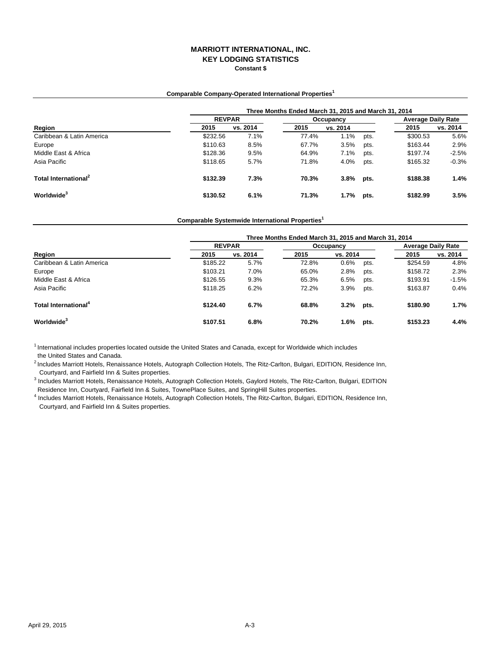### **MARRIOTT INTERNATIONAL, INC. KEY LODGING STATISTICS Constant \$**

### **Comparable Company-Operated International Properties<sup>1</sup>**

|                                  |          | Three Months Ended March 31, 2015 and March 31, 2014 |       |           |      |                           |          |  |  |
|----------------------------------|----------|------------------------------------------------------|-------|-----------|------|---------------------------|----------|--|--|
|                                  |          | <b>REVPAR</b>                                        |       | Occupancy |      | <b>Average Daily Rate</b> |          |  |  |
| Region                           | 2015     | vs. 2014                                             | 2015  | vs. 2014  |      | 2015                      | vs. 2014 |  |  |
| Caribbean & Latin America        | \$232.56 | 7.1%                                                 | 77.4% | 1.1%      | pts. | \$300.53                  | 5.6%     |  |  |
| Europe                           | \$110.63 | 8.5%                                                 | 67.7% | 3.5%      | pts. | \$163.44                  | 2.9%     |  |  |
| Middle East & Africa             | \$128.36 | 9.5%                                                 | 64.9% | 7.1%      | pts. | \$197.74                  | $-2.5%$  |  |  |
| Asia Pacific                     | \$118.65 | 5.7%                                                 | 71.8% | 4.0%      | pts. | \$165.32                  | $-0.3%$  |  |  |
| Total International <sup>2</sup> | \$132.39 | 7.3%                                                 | 70.3% | 3.8%      | pts. | \$188.38                  | 1.4%     |  |  |
| Worldwide <sup>3</sup>           | \$130.52 | 6.1%                                                 | 71.3% | 1.7%      | pts. | \$182.99                  | 3.5%     |  |  |

#### **Comparable Systemwide International Properties<sup>1</sup>**

|                                  | Three Months Ended March 31, 2015 and March 31, 2014 |               |       |           |      |                           |          |  |
|----------------------------------|------------------------------------------------------|---------------|-------|-----------|------|---------------------------|----------|--|
|                                  |                                                      | <b>REVPAR</b> |       | Occupancy |      | <b>Average Daily Rate</b> |          |  |
| Region                           | 2015                                                 | vs. 2014      | 2015  | vs. 2014  |      | 2015                      | vs. 2014 |  |
| Caribbean & Latin America        | \$185.22                                             | 5.7%          | 72.8% | 0.6%      | pts. | \$254.59                  | 4.8%     |  |
| Europe                           | \$103.21                                             | 7.0%          | 65.0% | 2.8%      | pts. | \$158.72                  | 2.3%     |  |
| Middle East & Africa             | \$126.55                                             | 9.3%          | 65.3% | 6.5%      | pts. | \$193.91                  | $-1.5%$  |  |
| Asia Pacific                     | \$118.25                                             | 6.2%          | 72.2% | 3.9%      | pts. | \$163.87                  | 0.4%     |  |
| Total International <sup>4</sup> | \$124.40                                             | 6.7%          | 68.8% | $3.2\%$   | pts. | \$180.90                  | 1.7%     |  |
| Worldwide <sup>3</sup>           | \$107.51                                             | 6.8%          | 70.2% | 1.6%      | pts. | \$153.23                  | 4.4%     |  |

 $1$  International includes properties located outside the United States and Canada, except for Worldwide which includes the United States and Canada.

 Courtyard, and Fairfield Inn & Suites properties. <sup>2</sup> Includes Marriott Hotels, Renaissance Hotels, Autograph Collection Hotels, The Ritz-Carlton, Bulgari, EDITION, Residence Inn,

<sup>3</sup> Includes Marriott Hotels, Renaissance Hotels, Autograph Collection Hotels, Gaylord Hotels, The Ritz-Carlton, Bulgari, EDITION Residence Inn, Courtyard, Fairfield Inn & Suites, TownePlace Suites, and SpringHill Suites properties.

4 Includes Marriott Hotels, Renaissance Hotels, Autograph Collection Hotels, The Ritz-Carlton, Bulgari, EDITION, Residence Inn, Courtyard, and Fairfield Inn & Suites properties.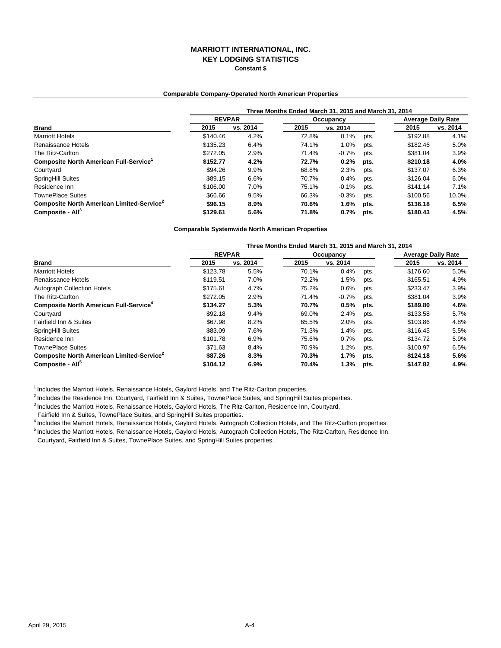### **MARRIOTT INTERNATIONAL, INC. KEY LODGING STATISTICS Constant \$**

### **Comparable Company-Operated North American Properties**

|                                                       |               |          | Three Months Ended March 31, 2015 and March 31, 2014 |           |      |                           |          |  |
|-------------------------------------------------------|---------------|----------|------------------------------------------------------|-----------|------|---------------------------|----------|--|
|                                                       | <b>REVPAR</b> |          |                                                      | Occupancy |      | <b>Average Daily Rate</b> |          |  |
| <b>Brand</b>                                          | 2015          | vs. 2014 | 2015                                                 | vs. 2014  |      | 2015                      | vs. 2014 |  |
| <b>Marriott Hotels</b>                                | \$140.46      | 4.2%     | 72.8%                                                | 0.1%      | pts. | \$192.88                  | 4.1%     |  |
| Renaissance Hotels                                    | \$135.23      | 6.4%     | 74.1%                                                | 1.0%      | pts. | \$182.46                  | 5.0%     |  |
| The Ritz-Carlton                                      | \$272.05      | 2.9%     | 71.4%                                                | $-0.7%$   | pts. | \$381.04                  | 3.9%     |  |
| Composite North American Full-Service <sup>1</sup>    | \$152.77      | 4.2%     | 72.7%                                                | 0.2%      | pts. | \$210.18                  | 4.0%     |  |
| Courtyard                                             | \$94.26       | 9.9%     | 68.8%                                                | 2.3%      | pts. | \$137.07                  | 6.3%     |  |
| SpringHill Suites                                     | \$89.15       | 6.6%     | 70.7%                                                | 0.4%      | pts. | \$126.04                  | 6.0%     |  |
| Residence Inn                                         | \$106.00      | 7.0%     | 75.1%                                                | $-0.1%$   | pts. | \$141.14                  | 7.1%     |  |
| <b>TownePlace Suites</b>                              | \$66.66       | 9.5%     | 66.3%                                                | $-0.3%$   | pts. | \$100.56                  | 10.0%    |  |
| Composite North American Limited-Service <sup>2</sup> | \$96.15       | 8.9%     | 70.6%                                                | 1.6%      | pts. | \$136.18                  | 6.5%     |  |
| Composite - All <sup>3</sup>                          | \$129.61      | 5.6%     | 71.8%                                                | 0.7%      | pts. | \$180.43                  | 4.5%     |  |

**Comparable Systemwide North American Properties**

|                                                          | Three Months Ended March 31, 2015 and March 31, 2014 |          |       |           |      |                           |          |
|----------------------------------------------------------|------------------------------------------------------|----------|-------|-----------|------|---------------------------|----------|
|                                                          | <b>REVPAR</b>                                        |          |       | Occupancy |      | <b>Average Daily Rate</b> |          |
| <b>Brand</b>                                             | 2015                                                 | vs. 2014 | 2015  | vs. 2014  |      | 2015                      | vs. 2014 |
| <b>Marriott Hotels</b>                                   | \$123.78                                             | 5.5%     | 70.1% | 0.4%      | pts. | \$176.60                  | 5.0%     |
| Renaissance Hotels                                       | \$119.51                                             | 7.0%     | 72.2% | 1.5%      | pts. | \$165.51                  | 4.9%     |
| <b>Autograph Collection Hotels</b>                       | \$175.61                                             | 4.7%     | 75.2% | 0.6%      | pts. | \$233.47                  | 3.9%     |
| The Ritz-Carlton                                         | \$272.05                                             | 2.9%     | 71.4% | $-0.7%$   | pts. | \$381.04                  | 3.9%     |
| <b>Composite North American Full-Service<sup>4</sup></b> | \$134.27                                             | 5.3%     | 70.7% | 0.5%      | pts. | \$189.80                  | 4.6%     |
| Courtvard                                                | \$92.18                                              | 9.4%     | 69.0% | 2.4%      | pts. | \$133.58                  | 5.7%     |
| <b>Fairfield Inn &amp; Suites</b>                        | \$67.98                                              | 8.2%     | 65.5% | 2.0%      | pts. | \$103.86                  | 4.8%     |
| <b>SpringHill Suites</b>                                 | \$83.09                                              | 7.6%     | 71.3% | 1.4%      | pts. | \$116.45                  | 5.5%     |
| Residence Inn                                            | \$101.78                                             | 6.9%     | 75.6% | 0.7%      | pts. | \$134.72                  | 5.9%     |
| <b>TownePlace Suites</b>                                 | \$71.63                                              | 8.4%     | 70.9% | 1.2%      | pts. | \$100.97                  | 6.5%     |
| Composite North American Limited-Service <sup>2</sup>    | \$87.26                                              | 8.3%     | 70.3% | 1.7%      | pts. | \$124.18                  | 5.6%     |
| Composite - All <sup>5</sup>                             | \$104.12                                             | 6.9%     | 70.4% | 1.3%      | pts. | \$147.82                  | 4.9%     |

 $1$  Includes the Marriott Hotels, Renaissance Hotels, Gaylord Hotels, and The Ritz-Carlton properties.

<sup>2</sup> Includes the Residence Inn, Courtyard, Fairfield Inn & Suites, TownePlace Suites, and SpringHill Suites properties.

3 Includes the Marriott Hotels, Renaissance Hotels, Gaylord Hotels, The Ritz-Carlton, Residence Inn, Courtyard,

Fairfield Inn & Suites, TownePlace Suites, and SpringHill Suites properties.

4 Includes the Marriott Hotels, Renaissance Hotels, Gaylord Hotels, Autograph Collection Hotels, and The Ritz-Carlton properties.

5 Includes the Marriott Hotels, Renaissance Hotels, Gaylord Hotels, Autograph Collection Hotels, The Ritz-Carlton, Residence Inn, Courtyard, Fairfield Inn & Suites, TownePlace Suites, and SpringHill Suites properties.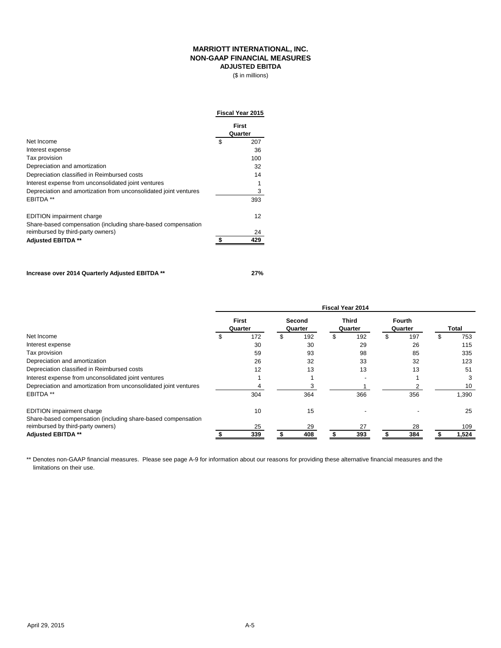### **MARRIOTT INTERNATIONAL, INC. NON-GAAP FINANCIAL MEASURES ADJUSTED EBITDA**

(\$ in millions)

|                                                                  | <b>Fiscal Year 2015</b> |
|------------------------------------------------------------------|-------------------------|
|                                                                  | First<br>Quarter        |
| Net Income                                                       | \$<br>207               |
| Interest expense                                                 | 36                      |
| Tax provision                                                    | 100                     |
| Depreciation and amortization                                    | 32                      |
| Depreciation classified in Reimbursed costs                      | 14                      |
| Interest expense from unconsolidated joint ventures              |                         |
| Depreciation and amortization from unconsolidated joint ventures | 3                       |
| EBITDA **                                                        | 393                     |
| <b>EDITION</b> impairment charge                                 | 12                      |
| Share-based compensation (including share-based compensation     |                         |
| reimbursed by third-party owners)                                | 24                      |
| <b>Adjusted EBITDA**</b>                                         | 429                     |
|                                                                  |                         |

**Increase over 2014 Quarterly Adjusted EBITDA \*\* 27%**

**First Quarter Second Quarter Third Quarter Fourth Quarter Total** Net Income \$ 172 \$ 192 \$ 192 \$ 197 \$ 753 Interest expense 30 30 29 26 115 Tax provision 59 93 98 85 335 Pereciation and amortization and amortization and amortization costs and the costs of the costs of the costs of the costs of the costs of the costs of the costs of the costs of the costs of the costs of the costs of the co Depreciation classified in Reimbursed costs Interest expense from unconsolidated joint ventures 1 1 - 1 3 Depreciation and amortization from unconsolidated joint ventures  $\frac{4}{304}$   $\frac{3}{364}$   $\frac{3}{366}$   $\frac{2}{356}$   $\frac{10}{336}$ EBITDA \*\* 304 364 366 356 1,390 EDITION impairment charge the contract of the contract of the contract of the contract of the contract of the contract of the contract of the contract of the contract of the contract of the contract of the contract of the Share-based compensation (including share-based compensation reimbursed by third-party owners)<br> **Adjusted EBITDA**<sup>\*\*</sup><br> **Adjusted EBITDA**<sup>\*\*</sup><br> **Adjusted EBITDA**<sup>\*\*</sup><br> **Adjusted EBITDA**<sup>\*\*</sup> **Adjusted EBITDA \*\* \$ 339 \$ 408 \$ 393 \$ 384 \$ 1,524 Fiscal Year 2014**

\*\* Denotes non-GAAP financial measures. Please see page A-9 for information about our reasons for providing these alternative financial measures and the limitations on their use.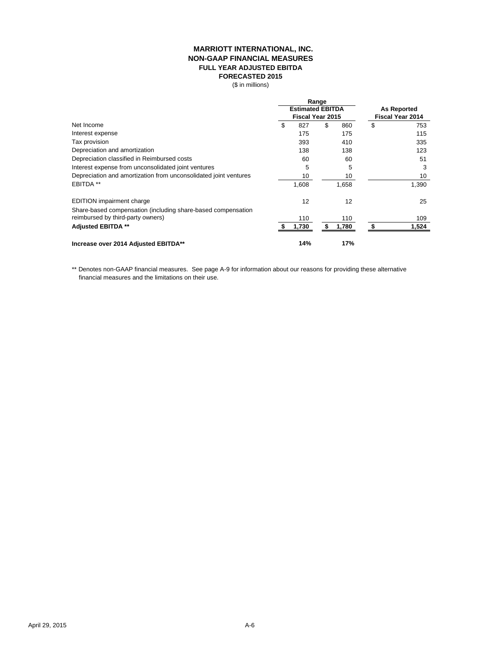### **MARRIOTT INTERNATIONAL, INC. NON-GAAP FINANCIAL MEASURES FULL YEAR ADJUSTED EBITDA FORECASTED 2015**

(\$ in millions)

|                                                                                                   | <b>Estimated EBITDA</b><br><b>Fiscal Year 2015</b> | Range | <b>As Reported</b><br><b>Fiscal Year 2014</b> |    |       |
|---------------------------------------------------------------------------------------------------|----------------------------------------------------|-------|-----------------------------------------------|----|-------|
| Net Income                                                                                        | \$<br>827                                          | \$    | 860                                           | \$ | 753   |
| Interest expense                                                                                  | 175                                                |       | 175                                           |    | 115   |
| Tax provision                                                                                     | 393                                                |       | 410                                           |    | 335   |
| Depreciation and amortization                                                                     | 138                                                |       | 138                                           |    | 123   |
| Depreciation classified in Reimbursed costs                                                       | 60                                                 |       | 60                                            |    | 51    |
| Interest expense from unconsolidated joint ventures                                               | 5                                                  |       | 5                                             |    | 3     |
| Depreciation and amortization from unconsolidated joint ventures                                  | 10                                                 |       | 10                                            |    | 10    |
| EBITDA **                                                                                         | 1,608                                              |       | 1,658                                         |    | 1,390 |
| <b>EDITION</b> impairment charge                                                                  | 12                                                 |       | 12                                            |    | 25    |
| Share-based compensation (including share-based compensation<br>reimbursed by third-party owners) | 110                                                |       | 110                                           |    | 109   |
| <b>Adjusted EBITDA **</b>                                                                         | 1,730                                              | S     | 1,780                                         |    | 1,524 |
| Increase over 2014 Adjusted EBITDA**                                                              | 14%                                                |       | 17%                                           |    |       |

\*\* Denotes non-GAAP financial measures. See page A-9 for information about our reasons for providing these alternative financial measures and the limitations on their use.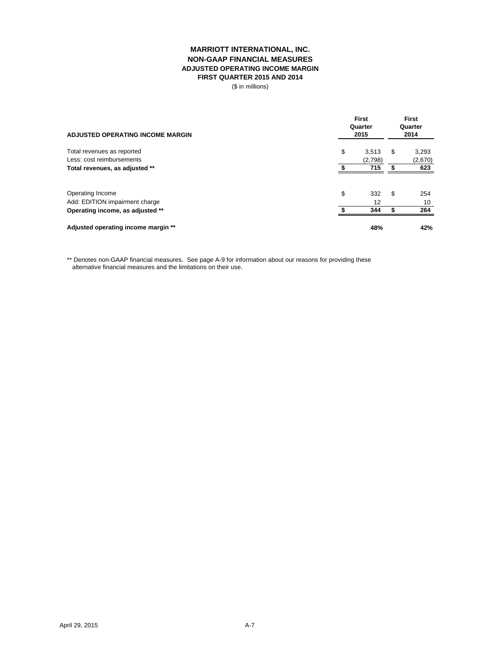# **MARRIOTT INTERNATIONAL, INC. NON-GAAP FINANCIAL MEASURES ADJUSTED OPERATING INCOME MARGIN FIRST QUARTER 2015 AND 2014**

(\$ in millions)

| <b>ADJUSTED OPERATING INCOME MARGIN</b> | <b>First</b><br>Quarter<br>2015 |    | <b>First</b><br>Quarter<br>2014 |  |
|-----------------------------------------|---------------------------------|----|---------------------------------|--|
| Total revenues as reported              | \$<br>3.513                     | \$ | 3,293                           |  |
| Less: cost reimbursements               | (2,798)                         |    | (2,670)                         |  |
| Total revenues, as adjusted **          | 715                             |    | 623                             |  |
| Operating Income                        | \$<br>332                       | \$ | 254                             |  |
| Add: EDITION impairment charge          | 12                              |    | 10                              |  |
| Operating income, as adjusted **        | 344                             |    | 264                             |  |
| Adjusted operating income margin **     | 48%                             |    | 42%                             |  |

\*\* Denotes non-GAAP financial measures. See page A-9 for information about our reasons for providing these alternative financial measures and the limitations on their use.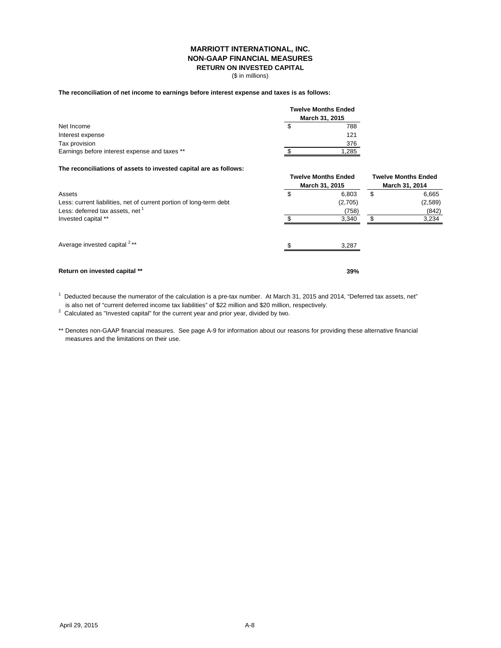## **MARRIOTT INTERNATIONAL, INC.**

### **NON-GAAP FINANCIAL MEASURES**

**RETURN ON INVESTED CAPITAL**

(\$ in millions)

#### **The reconciliation of net income to earnings before interest expense and taxes is as follows:**

|                                               | <b>Twelve Months Ended</b> |
|-----------------------------------------------|----------------------------|
|                                               | March 31, 2015             |
| Net Income                                    | 788                        |
| Interest expense                              | 121                        |
| Tax provision                                 | 376                        |
| Earnings before interest expense and taxes ** | 1,285                      |

#### **The reconciliations of assets to invested capital are as follows:**

|                                                                     | <b>Twelve Months Ended</b><br>March 31, 2015 | <b>Twelve Months Ended</b><br>March 31, 2014 |    |         |
|---------------------------------------------------------------------|----------------------------------------------|----------------------------------------------|----|---------|
| Assets                                                              | \$                                           | 6.803                                        | \$ | 6,665   |
| Less: current liabilities, net of current portion of long-term debt |                                              | (2,705)                                      |    | (2,589) |
| Less: deferred tax assets, net <sup>1</sup>                         |                                              | (758)                                        |    | (842)   |
| Invested capital **                                                 |                                              | 3,340                                        |    | 3,234   |
| Average invested capital <sup>2**</sup>                             |                                              | 3,287                                        |    |         |
| Return on invested capital **                                       |                                              | 39%                                          |    |         |

<sup>1</sup> Deducted because the numerator of the calculation is a pre-tax number. At March 31, 2015 and 2014, "Deferred tax assets, net" is also net of "current deferred income tax liabilities" of \$22 million and \$20 million, respectively.

 $2$  Calculated as "Invested capital" for the current year and prior year, divided by two.

\*\* Denotes non-GAAP financial measures. See page A-9 for information about our reasons for providing these alternative financial measures and the limitations on their use.